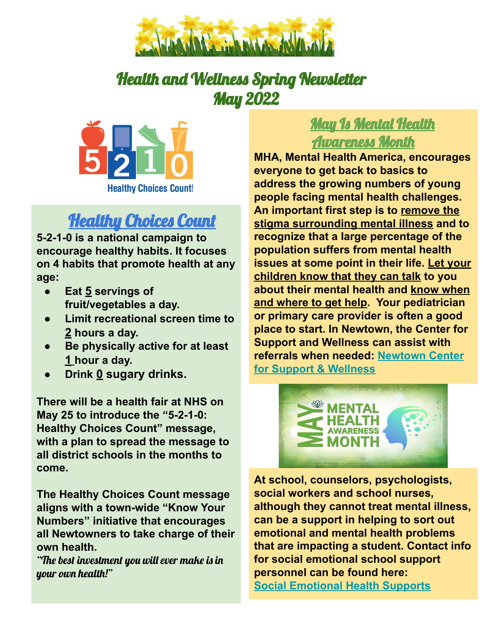

## Health and Wellness Spring Newsletter May 2022



## **Healthy Choices Count**

**5-2-1-0 is a national campaign to encourage healthy habits. It focuses on 4 habits that promote health at any age:**

- **Eat 5 servings of fruit/vegetables a day.**
- **Limit recreational screen time to 2 hours a day.**
- **Be physically active for at least 1 hour a day.**
- **Drink 0 sugary drinks.**

**There will be a health fair at NHS on May 25 to introduce the "5-2-1-0: Healthy Choices Count" message, with a plan to spread the message to all district schools in the months to come.**

**The Healthy Choices Count message aligns with a town-wide "Know Your Numbers" initiative that encourages all Newtowners to take charge of their own health.**

"The best investment you will ever make is in your own health!"

## May Is Mental Health Awareness Month

**MHA, Mental Health America, encourages everyone to get back to basics to address the growing numbers of young people facing mental health challenges. An important first step is to remove the stigma surrounding mental illness and to recognize that a large percentage of the population suffers from mental health issues at some point in their life. Let your children know that they can talk to you about their mental health and know when and where to get help. Your pediatrician or primary care provider is often a good place to start. In Newtown, the Center for Support and Wellness can assist with referrals when needed: [Newtown Center](http://newtowncsw.org/individual-family-therapy/) [for Support & Wellness](http://newtowncsw.org/individual-family-therapy/)**



**At school, counselors, psychologists, social workers and school nurses, although they cannot treat mental illness, can be a support in helping to sort out emotional and mental health problems that are impacting a student. Contact info for social emotional school support personnel can be found here: [Social Emotional Health Supports](https://docs.google.com/spreadsheets/d/1YM6CKnFg7HBTi1dNzOyrPzw5FZMZmRDcFASX8Fr5d3k/edit#gid=0)**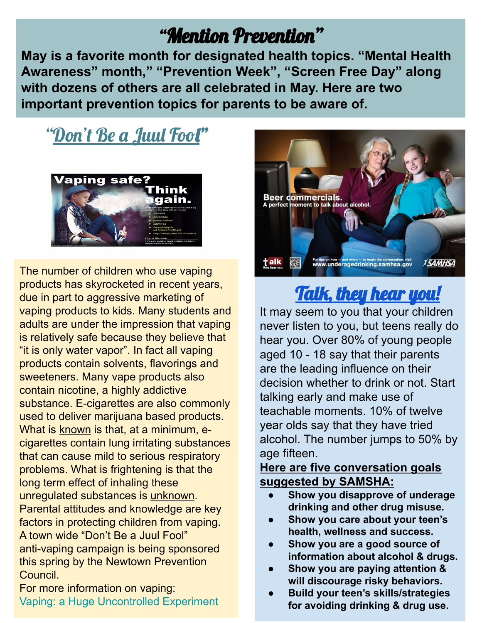# "Mention Prevention"

**May is a favorite month for designated health topics. "Mental Health Awareness" month," "Prevention Week", "Screen Free Day" along with dozens of others are all celebrated in May. Here are two important prevention topics for parents to be aware of.**

# "Don't Be a Juul Fool"



The number of children who use vaping products has skyrocketed in recent years, due in part to aggressive marketing of vaping products to kids. Many students and adults are under the impression that vaping is relatively safe because they believe that "it is only water vapor". In fact all vaping products contain solvents, flavorings and sweeteners. Many vape products also contain nicotine, a highly addictive substance. E-cigarettes are also commonly used to deliver marijuana based products. What is known is that, at a minimum, ecigarettes contain lung irritating substances that can cause mild to serious respiratory problems. What is frightening is that the long term effect of inhaling these unregulated substances is unknown. Parental attitudes and knowledge are key factors in protecting children from vaping. A town wide "Don't Be a Juul Fool" anti-vaping campaign is being sponsored this spring by the Newtown Prevention Council.

For more information on vaping: [Vaping: a Huge Uncontrolled Experiment](https://medicine.yale.edu/psychiatry/tobacco/news-article/vaping-a-huge-uncontrolled-experiment/)



# Talk, they hear you!

It may seem to you that your children never listen to you, but teens really do hear you. Over 80% of young people aged 10 - 18 say that their parents are the leading influence on their decision whether to drink or not. Start talking early and make use of teachable moments. 10% of twelve year olds say that they have tried alcohol. The number jumps to 50% by age fifteen.

## **Here are five conversation goals suggested by SAMSHA:**

- **● Show you disapprove of underage drinking and other drug misuse.**
- **● Show you care about your teen's health, wellness and success.**
- **● Show you are a good source of information about alcohol & drugs.**
- **● Show you are paying attention & will discourage risky behaviors.**
- **● Build your teen's skills/strategies for avoiding drinking & drug use.**